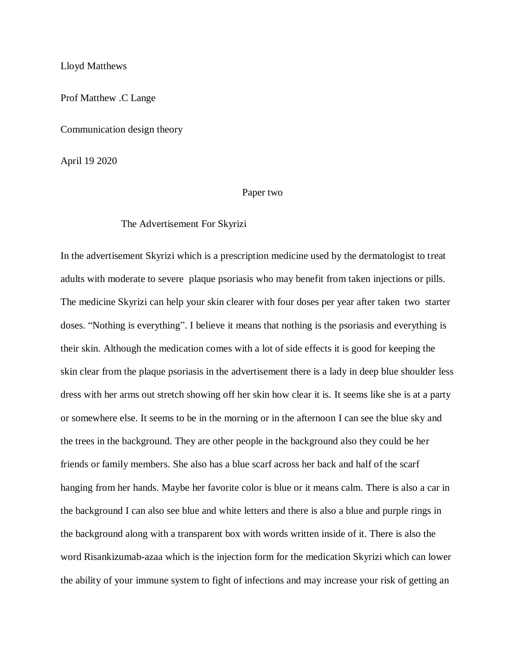Lloyd Matthews

Prof Matthew .C Lange

Communication design theory

April 19 2020

## Paper two

## The Advertisement For Skyrizi

In the advertisement Skyrizi which is a prescription medicine used by the dermatologist to treat adults with moderate to severe plaque psoriasis who may benefit from taken injections or pills. The medicine Skyrizi can help your skin clearer with four doses per year after taken two starter doses. "Nothing is everything". I believe it means that nothing is the psoriasis and everything is their skin. Although the medication comes with a lot of side effects it is good for keeping the skin clear from the plaque psoriasis in the advertisement there is a lady in deep blue shoulder less dress with her arms out stretch showing off her skin how clear it is. It seems like she is at a party or somewhere else. It seems to be in the morning or in the afternoon I can see the blue sky and the trees in the background. They are other people in the background also they could be her friends or family members. She also has a blue scarf across her back and half of the scarf hanging from her hands. Maybe her favorite color is blue or it means calm. There is also a car in the background I can also see blue and white letters and there is also a blue and purple rings in the background along with a transparent box with words written inside of it. There is also the word Risankizumab-azaa which is the injection form for the medication Skyrizi which can lower the ability of your immune system to fight of infections and may increase your risk of getting an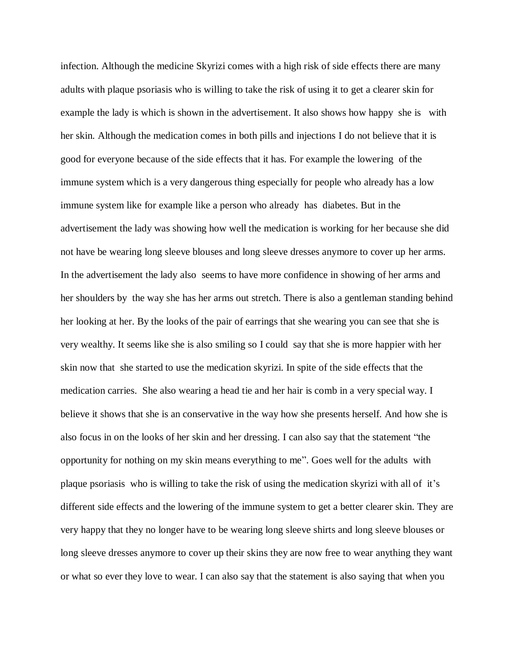infection. Although the medicine Skyrizi comes with a high risk of side effects there are many adults with plaque psoriasis who is willing to take the risk of using it to get a clearer skin for example the lady is which is shown in the advertisement. It also shows how happy she is with her skin. Although the medication comes in both pills and injections I do not believe that it is good for everyone because of the side effects that it has. For example the lowering of the immune system which is a very dangerous thing especially for people who already has a low immune system like for example like a person who already has diabetes. But in the advertisement the lady was showing how well the medication is working for her because she did not have be wearing long sleeve blouses and long sleeve dresses anymore to cover up her arms. In the advertisement the lady also seems to have more confidence in showing of her arms and her shoulders by the way she has her arms out stretch. There is also a gentleman standing behind her looking at her. By the looks of the pair of earrings that she wearing you can see that she is very wealthy. It seems like she is also smiling so I could say that she is more happier with her skin now that she started to use the medication skyrizi. In spite of the side effects that the medication carries. She also wearing a head tie and her hair is comb in a very special way. I believe it shows that she is an conservative in the way how she presents herself. And how she is also focus in on the looks of her skin and her dressing. I can also say that the statement "the opportunity for nothing on my skin means everything to me". Goes well for the adults with plaque psoriasis who is willing to take the risk of using the medication skyrizi with all of it's different side effects and the lowering of the immune system to get a better clearer skin. They are very happy that they no longer have to be wearing long sleeve shirts and long sleeve blouses or long sleeve dresses anymore to cover up their skins they are now free to wear anything they want or what so ever they love to wear. I can also say that the statement is also saying that when you